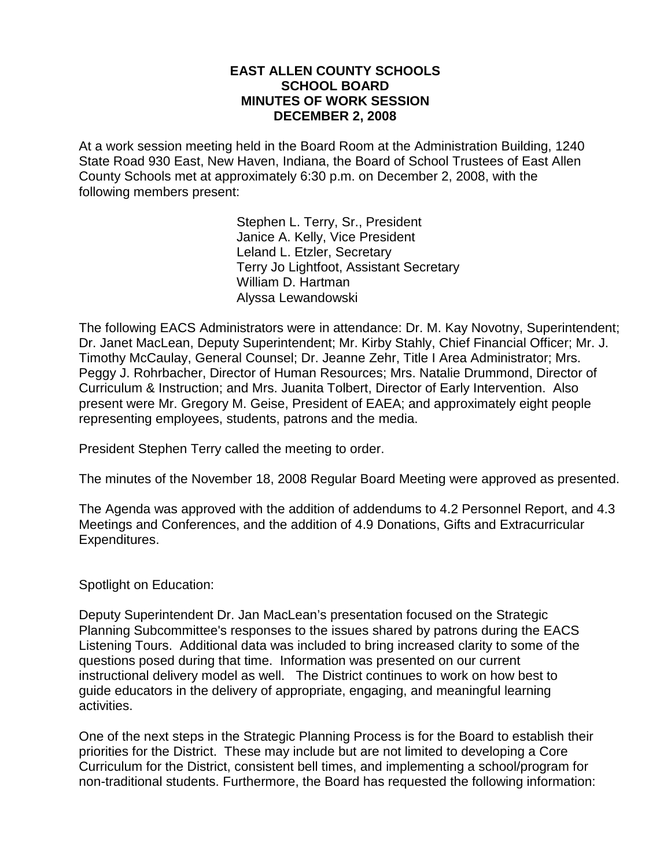#### **EAST ALLEN COUNTY SCHOOLS SCHOOL BOARD MINUTES OF WORK SESSION DECEMBER 2, 2008**

At a work session meeting held in the Board Room at the Administration Building, 1240 State Road 930 East, New Haven, Indiana, the Board of School Trustees of East Allen County Schools met at approximately 6:30 p.m. on December 2, 2008, with the following members present:

> Stephen L. Terry, Sr., President Janice A. Kelly, Vice President Leland L. Etzler, Secretary Terry Jo Lightfoot, Assistant Secretary William D. Hartman Alyssa Lewandowski

The following EACS Administrators were in attendance: Dr. M. Kay Novotny, Superintendent; Dr. Janet MacLean, Deputy Superintendent; Mr. Kirby Stahly, Chief Financial Officer; Mr. J. Timothy McCaulay, General Counsel; Dr. Jeanne Zehr, Title I Area Administrator; Mrs. Peggy J. Rohrbacher, Director of Human Resources; Mrs. Natalie Drummond, Director of Curriculum & Instruction; and Mrs. Juanita Tolbert, Director of Early Intervention. Also present were Mr. Gregory M. Geise, President of EAEA; and approximately eight people representing employees, students, patrons and the media.

President Stephen Terry called the meeting to order.

The minutes of the November 18, 2008 Regular Board Meeting were approved as presented.

The Agenda was approved with the addition of addendums to 4.2 Personnel Report, and 4.3 Meetings and Conferences, and the addition of 4.9 Donations, Gifts and Extracurricular Expenditures.

Spotlight on Education:

Deputy Superintendent Dr. Jan MacLean's presentation focused on the Strategic Planning Subcommittee's responses to the issues shared by patrons during the EACS Listening Tours. Additional data was included to bring increased clarity to some of the questions posed during that time. Information was presented on our current instructional delivery model as well. The District continues to work on how best to guide educators in the delivery of appropriate, engaging, and meaningful learning activities.

One of the next steps in the Strategic Planning Process is for the Board to establish their priorities for the District. These may include but are not limited to developing a Core Curriculum for the District, consistent bell times, and implementing a school/program for non-traditional students. Furthermore, the Board has requested the following information: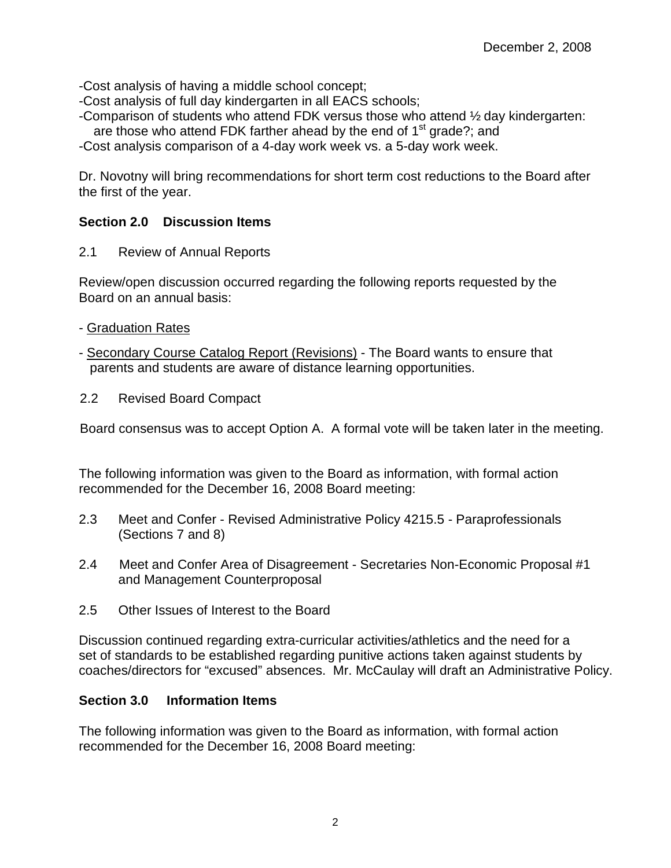-Cost analysis of having a middle school concept;

- -Cost analysis of full day kindergarten in all EACS schools;
- -Comparison of students who attend FDK versus those who attend ½ day kindergarten: are those who attend FDK farther ahead by the end of  $1<sup>st</sup>$  grade?; and

-Cost analysis comparison of a 4-day work week vs. a 5-day work week.

Dr. Novotny will bring recommendations for short term cost reductions to the Board after the first of the year.

## **Section 2.0 Discussion Items**

2.1 Review of Annual Reports

Review/open discussion occurred regarding the following reports requested by the Board on an annual basis:

- Graduation Rates
- Secondary Course Catalog Report (Revisions) The Board wants to ensure that parents and students are aware of distance learning opportunities.
- 2.2 Revised Board Compact

Board consensus was to accept Option A. A formal vote will be taken later in the meeting.

The following information was given to the Board as information, with formal action recommended for the December 16, 2008 Board meeting:

- 2.3 Meet and Confer Revised Administrative Policy 4215.5 Paraprofessionals (Sections 7 and 8)
- 2.4 Meet and Confer Area of Disagreement Secretaries Non-Economic Proposal #1 and Management Counterproposal
- 2.5 Other Issues of Interest to the Board

Discussion continued regarding extra-curricular activities/athletics and the need for a set of standards to be established regarding punitive actions taken against students by coaches/directors for "excused" absences. Mr. McCaulay will draft an Administrative Policy.

## **Section 3.0 Information Items**

The following information was given to the Board as information, with formal action recommended for the December 16, 2008 Board meeting: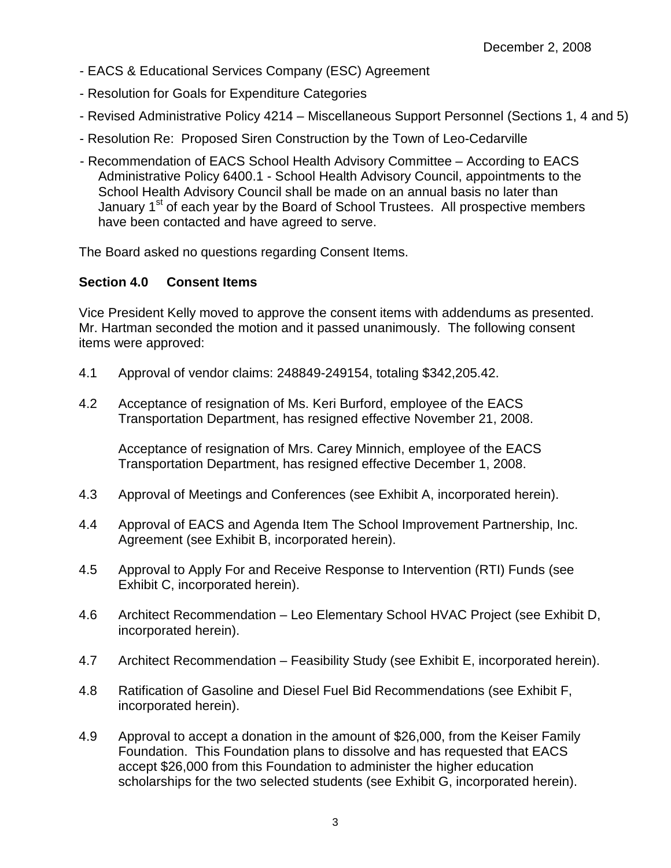- EACS & Educational Services Company (ESC) Agreement
- Resolution for Goals for Expenditure Categories
- Revised Administrative Policy 4214 Miscellaneous Support Personnel (Sections 1, 4 and 5)
- Resolution Re: Proposed Siren Construction by the Town of Leo-Cedarville
- Recommendation of EACS School Health Advisory Committee According to EACS Administrative Policy 6400.1 - School Health Advisory Council, appointments to the School Health Advisory Council shall be made on an annual basis no later than January 1<sup>st</sup> of each year by the Board of School Trustees. All prospective members have been contacted and have agreed to serve.

The Board asked no questions regarding Consent Items.

## **Section 4.0 Consent Items**

Vice President Kelly moved to approve the consent items with addendums as presented. Mr. Hartman seconded the motion and it passed unanimously. The following consent items were approved:

- 4.1 Approval of vendor claims: 248849-249154, totaling \$342,205.42.
- 4.2 Acceptance of resignation of Ms. Keri Burford, employee of the EACS Transportation Department, has resigned effective November 21, 2008.

Acceptance of resignation of Mrs. Carey Minnich, employee of the EACS Transportation Department, has resigned effective December 1, 2008.

- 4.3 Approval of Meetings and Conferences (see Exhibit A, incorporated herein).
- 4.4 Approval of EACS and Agenda Item The School Improvement Partnership, Inc. Agreement (see Exhibit B, incorporated herein).
- 4.5 Approval to Apply For and Receive Response to Intervention (RTI) Funds (see Exhibit C, incorporated herein).
- 4.6 Architect Recommendation Leo Elementary School HVAC Project (see Exhibit D, incorporated herein).
- 4.7 Architect Recommendation Feasibility Study (see Exhibit E, incorporated herein).
- 4.8 Ratification of Gasoline and Diesel Fuel Bid Recommendations (see Exhibit F, incorporated herein).
- 4.9 Approval to accept a donation in the amount of \$26,000, from the Keiser Family Foundation. This Foundation plans to dissolve and has requested that EACS accept \$26,000 from this Foundation to administer the higher education scholarships for the two selected students (see Exhibit G, incorporated herein).